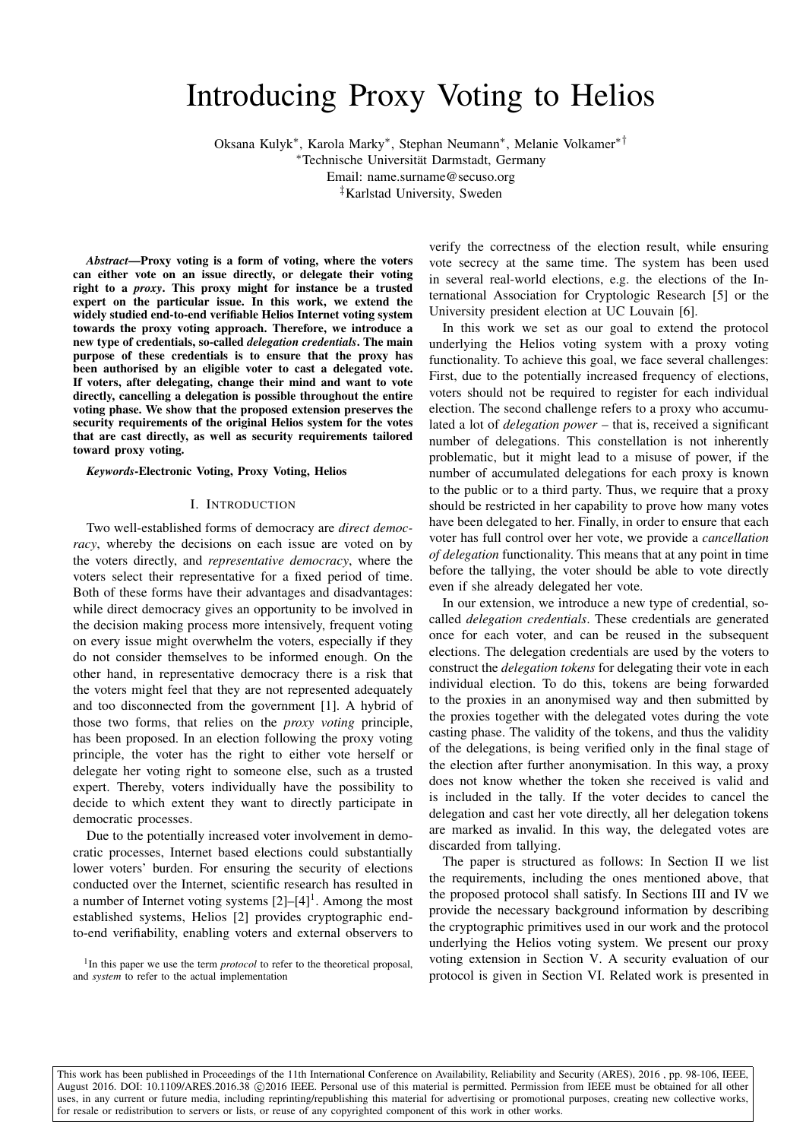# Introducing Proxy Voting to Helios

Oksana Kulyk<sup>∗</sup> , Karola Marky<sup>∗</sup> , Stephan Neumann<sup>∗</sup> , Melanie Volkamer∗†

<sup>∗</sup>Technische Universitat Darmstadt, Germany ¨ Email: name.surname@secuso.org

‡Karlstad University, Sweden

*Abstract*—Proxy voting is a form of voting, where the voters can either vote on an issue directly, or delegate their voting right to a *proxy*. This proxy might for instance be a trusted expert on the particular issue. In this work, we extend the widely studied end-to-end verifiable Helios Internet voting system towards the proxy voting approach. Therefore, we introduce a new type of credentials, so-called *delegation credentials*. The main purpose of these credentials is to ensure that the proxy has been authorised by an eligible voter to cast a delegated vote. If voters, after delegating, change their mind and want to vote directly, cancelling a delegation is possible throughout the entire voting phase. We show that the proposed extension preserves the security requirements of the original Helios system for the votes that are cast directly, as well as security requirements tailored toward proxy voting.

*Keywords*-Electronic Voting, Proxy Voting, Helios

## I. INTRODUCTION

Two well-established forms of democracy are *direct democracy*, whereby the decisions on each issue are voted on by the voters directly, and *representative democracy*, where the voters select their representative for a fixed period of time. Both of these forms have their advantages and disadvantages: while direct democracy gives an opportunity to be involved in the decision making process more intensively, frequent voting on every issue might overwhelm the voters, especially if they do not consider themselves to be informed enough. On the other hand, in representative democracy there is a risk that the voters might feel that they are not represented adequately and too disconnected from the government [1]. A hybrid of those two forms, that relies on the *proxy voting* principle, has been proposed. In an election following the proxy voting principle, the voter has the right to either vote herself or delegate her voting right to someone else, such as a trusted expert. Thereby, voters individually have the possibility to decide to which extent they want to directly participate in democratic processes.

Due to the potentially increased voter involvement in democratic processes, Internet based elections could substantially lower voters' burden. For ensuring the security of elections conducted over the Internet, scientific research has resulted in a number of Internet voting systems  $[2]$ - $[4]$ <sup>1</sup>. Among the most established systems, Helios [2] provides cryptographic endto-end verifiability, enabling voters and external observers to

<sup>1</sup>In this paper we use the term *protocol* to refer to the theoretical proposal, and *system* to refer to the actual implementation

verify the correctness of the election result, while ensuring vote secrecy at the same time. The system has been used in several real-world elections, e.g. the elections of the International Association for Cryptologic Research [5] or the University president election at UC Louvain [6].

In this work we set as our goal to extend the protocol underlying the Helios voting system with a proxy voting functionality. To achieve this goal, we face several challenges: First, due to the potentially increased frequency of elections, voters should not be required to register for each individual election. The second challenge refers to a proxy who accumulated a lot of *delegation power* – that is, received a significant number of delegations. This constellation is not inherently problematic, but it might lead to a misuse of power, if the number of accumulated delegations for each proxy is known to the public or to a third party. Thus, we require that a proxy should be restricted in her capability to prove how many votes have been delegated to her. Finally, in order to ensure that each voter has full control over her vote, we provide a *cancellation of delegation* functionality. This means that at any point in time before the tallying, the voter should be able to vote directly even if she already delegated her vote.

In our extension, we introduce a new type of credential, socalled *delegation credentials*. These credentials are generated once for each voter, and can be reused in the subsequent elections. The delegation credentials are used by the voters to construct the *delegation tokens* for delegating their vote in each individual election. To do this, tokens are being forwarded to the proxies in an anonymised way and then submitted by the proxies together with the delegated votes during the vote casting phase. The validity of the tokens, and thus the validity of the delegations, is being verified only in the final stage of the election after further anonymisation. In this way, a proxy does not know whether the token she received is valid and is included in the tally. If the voter decides to cancel the delegation and cast her vote directly, all her delegation tokens are marked as invalid. In this way, the delegated votes are discarded from tallying.

The paper is structured as follows: In Section II we list the requirements, including the ones mentioned above, that the proposed protocol shall satisfy. In Sections III and IV we provide the necessary background information by describing the cryptographic primitives used in our work and the protocol underlying the Helios voting system. We present our proxy voting extension in Section V. A security evaluation of our protocol is given in Section VI. Related work is presented in

This work has been published in Proceedings of the 11th International Conference on Availability, Reliability and Security (ARES), 2016 , pp. 98-106, IEEE, August 2016. DOI: 10.1109/ARES.2016.38 ©2016 IEEE. Personal use of this material is permitted. Permission from IEEE must be obtained for all other uses, in any current or future media, including reprinting/republishing this material for advertising or promotional purposes, creating new collective works, for resale or redistribution to servers or lists, or reuse of any copyrighted component of this work in other works.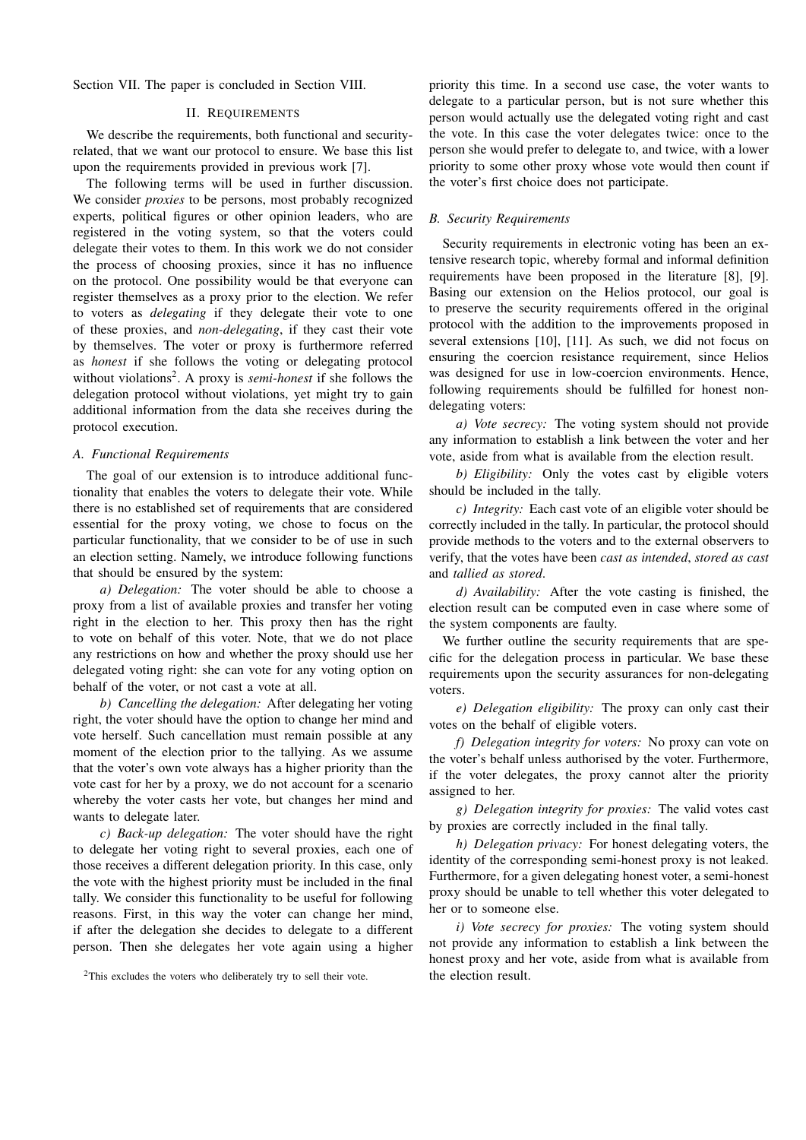Section VII. The paper is concluded in Section VIII.

# II. REQUIREMENTS

We describe the requirements, both functional and securityrelated, that we want our protocol to ensure. We base this list upon the requirements provided in previous work [7].

The following terms will be used in further discussion. We consider *proxies* to be persons, most probably recognized experts, political figures or other opinion leaders, who are registered in the voting system, so that the voters could delegate their votes to them. In this work we do not consider the process of choosing proxies, since it has no influence on the protocol. One possibility would be that everyone can register themselves as a proxy prior to the election. We refer to voters as *delegating* if they delegate their vote to one of these proxies, and *non-delegating*, if they cast their vote by themselves. The voter or proxy is furthermore referred as *honest* if she follows the voting or delegating protocol without violations<sup>2</sup> . A proxy is *semi-honest* if she follows the delegation protocol without violations, yet might try to gain additional information from the data she receives during the protocol execution.

## *A. Functional Requirements*

The goal of our extension is to introduce additional functionality that enables the voters to delegate their vote. While there is no established set of requirements that are considered essential for the proxy voting, we chose to focus on the particular functionality, that we consider to be of use in such an election setting. Namely, we introduce following functions that should be ensured by the system:

*a) Delegation:* The voter should be able to choose a proxy from a list of available proxies and transfer her voting right in the election to her. This proxy then has the right to vote on behalf of this voter. Note, that we do not place any restrictions on how and whether the proxy should use her delegated voting right: she can vote for any voting option on behalf of the voter, or not cast a vote at all.

*b) Cancelling the delegation:* After delegating her voting right, the voter should have the option to change her mind and vote herself. Such cancellation must remain possible at any moment of the election prior to the tallying. As we assume that the voter's own vote always has a higher priority than the vote cast for her by a proxy, we do not account for a scenario whereby the voter casts her vote, but changes her mind and wants to delegate later.

*c) Back-up delegation:* The voter should have the right to delegate her voting right to several proxies, each one of those receives a different delegation priority. In this case, only the vote with the highest priority must be included in the final tally. We consider this functionality to be useful for following reasons. First, in this way the voter can change her mind, if after the delegation she decides to delegate to a different person. Then she delegates her vote again using a higher

<sup>2</sup>This excludes the voters who deliberately try to sell their vote.

priority this time. In a second use case, the voter wants to delegate to a particular person, but is not sure whether this person would actually use the delegated voting right and cast the vote. In this case the voter delegates twice: once to the person she would prefer to delegate to, and twice, with a lower priority to some other proxy whose vote would then count if the voter's first choice does not participate.

## *B. Security Requirements*

Security requirements in electronic voting has been an extensive research topic, whereby formal and informal definition requirements have been proposed in the literature [8], [9]. Basing our extension on the Helios protocol, our goal is to preserve the security requirements offered in the original protocol with the addition to the improvements proposed in several extensions [10], [11]. As such, we did not focus on ensuring the coercion resistance requirement, since Helios was designed for use in low-coercion environments. Hence, following requirements should be fulfilled for honest nondelegating voters:

*a) Vote secrecy:* The voting system should not provide any information to establish a link between the voter and her vote, aside from what is available from the election result.

*b) Eligibility:* Only the votes cast by eligible voters should be included in the tally.

*c) Integrity:* Each cast vote of an eligible voter should be correctly included in the tally. In particular, the protocol should provide methods to the voters and to the external observers to verify, that the votes have been *cast as intended*, *stored as cast* and *tallied as stored*.

*d) Availability:* After the vote casting is finished, the election result can be computed even in case where some of the system components are faulty.

We further outline the security requirements that are specific for the delegation process in particular. We base these requirements upon the security assurances for non-delegating voters.

*e) Delegation eligibility:* The proxy can only cast their votes on the behalf of eligible voters.

*f) Delegation integrity for voters:* No proxy can vote on the voter's behalf unless authorised by the voter. Furthermore, if the voter delegates, the proxy cannot alter the priority assigned to her.

*g) Delegation integrity for proxies:* The valid votes cast by proxies are correctly included in the final tally.

*h) Delegation privacy:* For honest delegating voters, the identity of the corresponding semi-honest proxy is not leaked. Furthermore, for a given delegating honest voter, a semi-honest proxy should be unable to tell whether this voter delegated to her or to someone else.

*i) Vote secrecy for proxies:* The voting system should not provide any information to establish a link between the honest proxy and her vote, aside from what is available from the election result.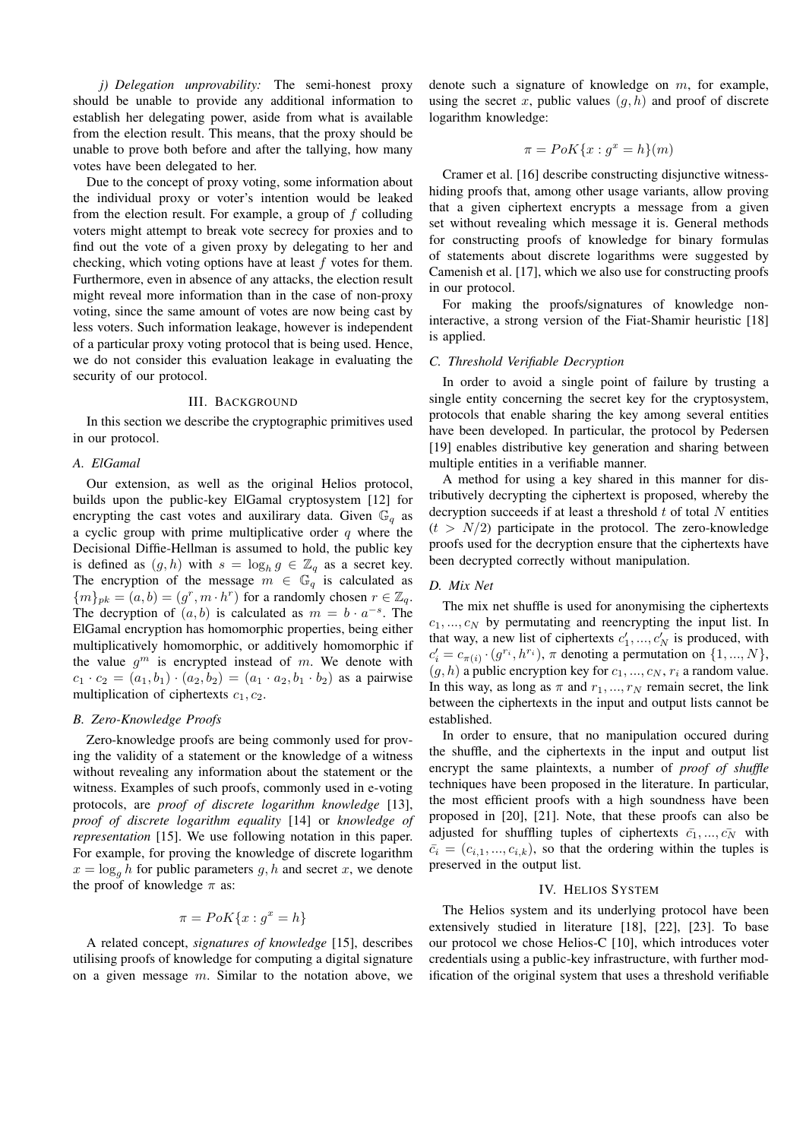*j) Delegation unprovability:* The semi-honest proxy should be unable to provide any additional information to establish her delegating power, aside from what is available from the election result. This means, that the proxy should be unable to prove both before and after the tallying, how many votes have been delegated to her.

Due to the concept of proxy voting, some information about the individual proxy or voter's intention would be leaked from the election result. For example, a group of  $f$  colluding voters might attempt to break vote secrecy for proxies and to find out the vote of a given proxy by delegating to her and checking, which voting options have at least  $f$  votes for them. Furthermore, even in absence of any attacks, the election result might reveal more information than in the case of non-proxy voting, since the same amount of votes are now being cast by less voters. Such information leakage, however is independent of a particular proxy voting protocol that is being used. Hence, we do not consider this evaluation leakage in evaluating the security of our protocol.

## III. BACKGROUND

In this section we describe the cryptographic primitives used in our protocol.

## *A. ElGamal*

Our extension, as well as the original Helios protocol, builds upon the public-key ElGamal cryptosystem [12] for encrypting the cast votes and auxilirary data. Given  $\mathbb{G}_q$  as a cyclic group with prime multiplicative order  $q$  where the Decisional Diffie-Hellman is assumed to hold, the public key is defined as  $(g, h)$  with  $s = \log_h g \in \mathbb{Z}_q$  as a secret key. The encryption of the message  $m \in \mathbb{G}_q$  is calculated as  ${m}_{pk} = (a, b) = (g<sup>r</sup>, m \cdot h<sup>r</sup>)$  for a randomly chosen  $r \in \mathbb{Z}_q$ . The decryption of  $(a, b)$  is calculated as  $m = b \cdot a^{-s}$ . The ElGamal encryption has homomorphic properties, being either multiplicatively homomorphic, or additively homomorphic if the value  $g^m$  is encrypted instead of m. We denote with  $c_1 \cdot c_2 = (a_1, b_1) \cdot (a_2, b_2) = (a_1 \cdot a_2, b_1 \cdot b_2)$  as a pairwise multiplication of ciphertexts  $c_1$ ,  $c_2$ .

## *B. Zero-Knowledge Proofs*

Zero-knowledge proofs are being commonly used for proving the validity of a statement or the knowledge of a witness without revealing any information about the statement or the witness. Examples of such proofs, commonly used in e-voting protocols, are *proof of discrete logarithm knowledge* [13], *proof of discrete logarithm equality* [14] or *knowledge of representation* [15]. We use following notation in this paper. For example, for proving the knowledge of discrete logarithm  $x = \log_a h$  for public parameters q, h and secret x, we denote the proof of knowledge  $\pi$  as:

$$
\pi = PoK\{x : g^x = h\}
$$

A related concept, *signatures of knowledge* [15], describes utilising proofs of knowledge for computing a digital signature on a given message m. Similar to the notation above, we denote such a signature of knowledge on  $m$ , for example, using the secret x, public values  $(q, h)$  and proof of discrete logarithm knowledge:

$$
\pi = PoK\{x : g^x = h\}(m)
$$

Cramer et al. [16] describe constructing disjunctive witnesshiding proofs that, among other usage variants, allow proving that a given ciphertext encrypts a message from a given set without revealing which message it is. General methods for constructing proofs of knowledge for binary formulas of statements about discrete logarithms were suggested by Camenish et al. [17], which we also use for constructing proofs in our protocol.

For making the proofs/signatures of knowledge noninteractive, a strong version of the Fiat-Shamir heuristic [18] is applied.

# *C. Threshold Verifiable Decryption*

In order to avoid a single point of failure by trusting a single entity concerning the secret key for the cryptosystem, protocols that enable sharing the key among several entities have been developed. In particular, the protocol by Pedersen [19] enables distributive key generation and sharing between multiple entities in a verifiable manner.

A method for using a key shared in this manner for distributively decrypting the ciphertext is proposed, whereby the decryption succeeds if at least a threshold  $t$  of total  $N$  entities  $(t > N/2)$  participate in the protocol. The zero-knowledge proofs used for the decryption ensure that the ciphertexts have been decrypted correctly without manipulation.

#### *D. Mix Net*

The mix net shuffle is used for anonymising the ciphertexts  $c_1, ..., c_N$  by permutating and reencrypting the input list. In that way, a new list of ciphertexts  $c'_1, ..., c'_N$  is produced, with  $c_i' = c_{\pi(i)} \cdot (g^{r_i}, h^{r_i})$ ,  $\pi$  denoting a permutation on  $\{1, ..., N\}$ ,  $(g, h)$  a public encryption key for  $c_1, ..., c_N$ ,  $r_i$  a random value. In this way, as long as  $\pi$  and  $r_1, ..., r_N$  remain secret, the link between the ciphertexts in the input and output lists cannot be established.

In order to ensure, that no manipulation occured during the shuffle, and the ciphertexts in the input and output list encrypt the same plaintexts, a number of *proof of shuffle* techniques have been proposed in the literature. In particular, the most efficient proofs with a high soundness have been proposed in [20], [21]. Note, that these proofs can also be adjusted for shuffling tuples of ciphertexts  $\bar{c}_1, \ldots, \bar{c}_N$  with  $\bar{c}_i = (c_{i,1},...,c_{i,k})$ , so that the ordering within the tuples is preserved in the output list.

## IV. HELIOS SYSTEM

The Helios system and its underlying protocol have been extensively studied in literature [18], [22], [23]. To base our protocol we chose Helios-C [10], which introduces voter credentials using a public-key infrastructure, with further modification of the original system that uses a threshold verifiable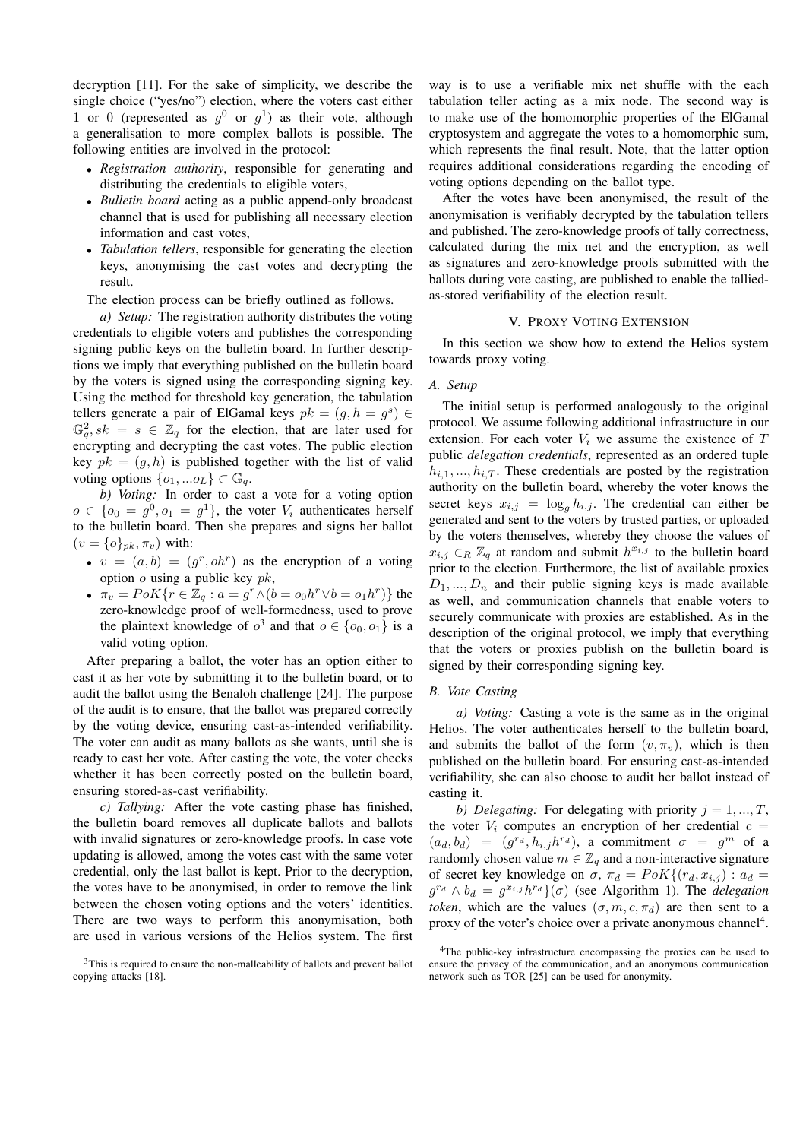decryption [11]. For the sake of simplicity, we describe the single choice ("yes/no") election, where the voters cast either 1 or 0 (represented as  $g^0$  or  $g^1$ ) as their vote, although a generalisation to more complex ballots is possible. The following entities are involved in the protocol:

- *Registration authority*, responsible for generating and distributing the credentials to eligible voters,
- *Bulletin board* acting as a public append-only broadcast channel that is used for publishing all necessary election information and cast votes,
- *Tabulation tellers*, responsible for generating the election keys, anonymising the cast votes and decrypting the result.

The election process can be briefly outlined as follows.

*a) Setup:* The registration authority distributes the voting credentials to eligible voters and publishes the corresponding signing public keys on the bulletin board. In further descriptions we imply that everything published on the bulletin board by the voters is signed using the corresponding signing key. Using the method for threshold key generation, the tabulation tellers generate a pair of ElGamal keys  $pk = (g, h = g<sup>s</sup>) \in$  $\mathbb{G}_q^2, sk = s \in \mathbb{Z}_q$  for the election, that are later used for encrypting and decrypting the cast votes. The public election key  $pk = (g, h)$  is published together with the list of valid voting options  $\{o_1, ... o_L\} \subset \mathbb{G}_q$ .

*b) Voting:* In order to cast a vote for a voting option  $o \in \{o_0 = g^0, o_1 = g^1\}$ , the voter  $V_i$  authenticates herself to the bulletin board. Then she prepares and signs her ballot  $(v = \{o\}_{pk}, \pi_v)$  with:

- $v = (a, b) = (g^r, oh^r)$  as the encryption of a voting option  $o$  using a public key  $pk$ ,
- $\pi_v = PoK\{r \in \mathbb{Z}_q : a = g^r \wedge (b = o_0 h^r \vee b = o_1 h^r)\}\$ the zero-knowledge proof of well-formedness, used to prove the plaintext knowledge of  $o^3$  and that  $o \in \{o_0, o_1\}$  is a valid voting option.

After preparing a ballot, the voter has an option either to cast it as her vote by submitting it to the bulletin board, or to audit the ballot using the Benaloh challenge [24]. The purpose of the audit is to ensure, that the ballot was prepared correctly by the voting device, ensuring cast-as-intended verifiability. The voter can audit as many ballots as she wants, until she is ready to cast her vote. After casting the vote, the voter checks whether it has been correctly posted on the bulletin board, ensuring stored-as-cast verifiability.

*c) Tallying:* After the vote casting phase has finished, the bulletin board removes all duplicate ballots and ballots with invalid signatures or zero-knowledge proofs. In case vote updating is allowed, among the votes cast with the same voter credential, only the last ballot is kept. Prior to the decryption, the votes have to be anonymised, in order to remove the link between the chosen voting options and the voters' identities. There are two ways to perform this anonymisation, both are used in various versions of the Helios system. The first

way is to use a verifiable mix net shuffle with the each tabulation teller acting as a mix node. The second way is to make use of the homomorphic properties of the ElGamal cryptosystem and aggregate the votes to a homomorphic sum, which represents the final result. Note, that the latter option requires additional considerations regarding the encoding of voting options depending on the ballot type.

After the votes have been anonymised, the result of the anonymisation is verifiably decrypted by the tabulation tellers and published. The zero-knowledge proofs of tally correctness, calculated during the mix net and the encryption, as well as signatures and zero-knowledge proofs submitted with the ballots during vote casting, are published to enable the talliedas-stored verifiability of the election result.

## V. PROXY VOTING EXTENSION

In this section we show how to extend the Helios system towards proxy voting.

## *A. Setup*

The initial setup is performed analogously to the original protocol. We assume following additional infrastructure in our extension. For each voter  $V_i$  we assume the existence of  $T$ public *delegation credentials*, represented as an ordered tuple  $h_{i,1},..., h_{i,T}$ . These credentials are posted by the registration authority on the bulletin board, whereby the voter knows the secret keys  $x_{i,j} = \log_a h_{i,j}$ . The credential can either be generated and sent to the voters by trusted parties, or uploaded by the voters themselves, whereby they choose the values of  $x_{i,j} \in_R \mathbb{Z}_q$  at random and submit  $h^{x_{i,j}}$  to the bulletin board prior to the election. Furthermore, the list of available proxies  $D_1, ..., D_n$  and their public signing keys is made available as well, and communication channels that enable voters to securely communicate with proxies are established. As in the description of the original protocol, we imply that everything that the voters or proxies publish on the bulletin board is signed by their corresponding signing key.

# *B. Vote Casting*

*a) Voting:* Casting a vote is the same as in the original Helios. The voter authenticates herself to the bulletin board, and submits the ballot of the form  $(v, \pi_v)$ , which is then published on the bulletin board. For ensuring cast-as-intended verifiability, she can also choose to audit her ballot instead of casting it.

*b)* Delegating: For delegating with priority  $j = 1, ..., T$ , the voter  $V_i$  computes an encryption of her credential  $c =$  $(a_d, b_d) = (g^{r_d}, h_{i,j}h^{r_d})$ , a commitment  $\sigma = g^m$  of a randomly chosen value  $m \in \mathbb{Z}_q$  and a non-interactive signature of secret key knowledge on  $\sigma$ ,  $\pi_d = PoK\{(r_d, x_{i,j}) : a_d =$  $g^{r_d} \wedge b_d = g^{x_{i,j}} h^{r_d}$  ( $\sigma$ ) (see Algorithm 1). The *delegation token*, which are the values  $(\sigma, m, c, \pi_d)$  are then sent to a proxy of the voter's choice over a private anonymous channel<sup>4</sup>.

<sup>&</sup>lt;sup>3</sup>This is required to ensure the non-malleability of ballots and prevent ballot copying attacks [18].

<sup>4</sup>The public-key infrastructure encompassing the proxies can be used to ensure the privacy of the communication, and an anonymous communication network such as TOR [25] can be used for anonymity.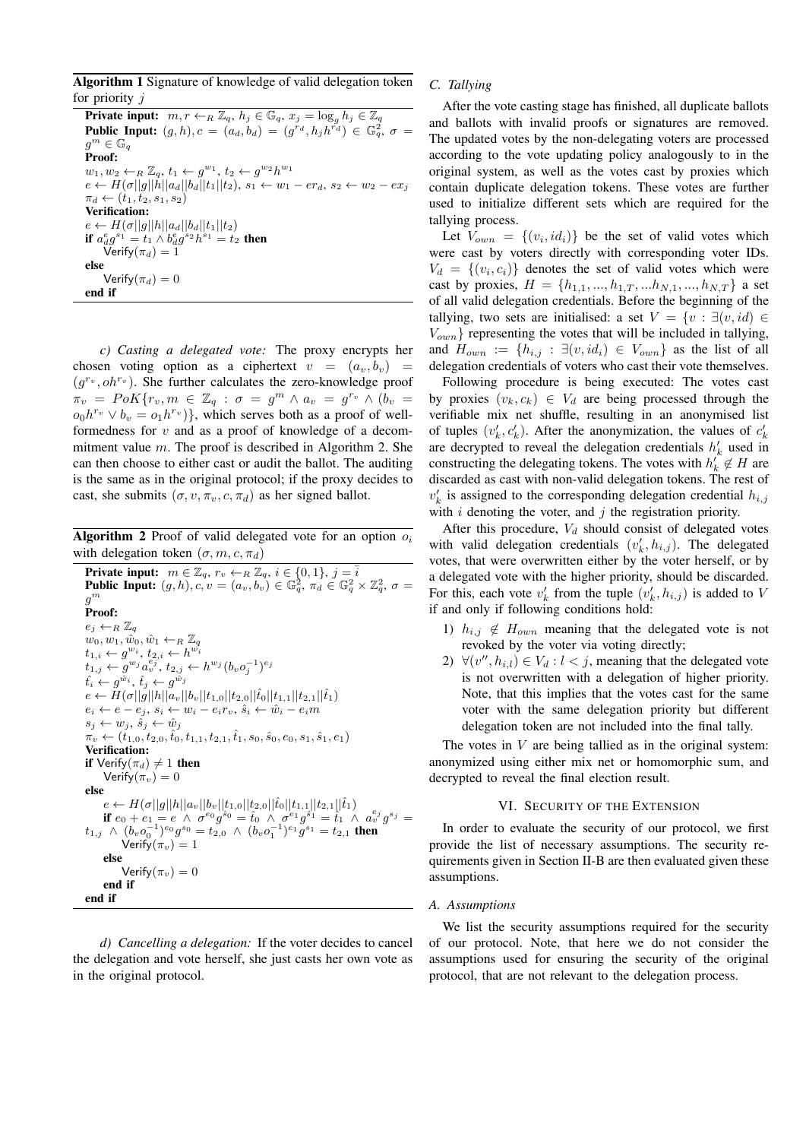Algorithm 1 Signature of knowledge of valid delegation token for priority  $\hat{j}$ 

**Private input:**  $m, r \leftarrow_R \mathbb{Z}_q$ ,  $h_j \in \mathbb{G}_q$ ,  $x_j = \log_q h_j \in \mathbb{Z}_q$ **Public Input:**  $(g, h), c = (a_d, b_d) = (g^{r_d}, h_j h^{r_d}) \in \mathbb{G}_q^2$ ,  $\sigma =$  $g^m \in \mathbb{G}_q$ Proof:  $w_1, w_2 \leftarrow_R \mathbb{Z}_q, t_1 \leftarrow g^{w_1}, t_2 \leftarrow g^{w_2} h^{w_1}$  $e \leftarrow H(\sigma||g||h||a_d||b_d||t_1||t_2), s_1 \leftarrow w_1 - er_d, s_2 \leftarrow w_2 - ex_j$  $\pi_d \leftarrow (t_1, t_2, s_1, s_2)$ Verification:  $e \leftarrow H(\sigma||g||h||a_d||b_d||t_1||t_2)$ if  $a_d^e g^{s_1} = t_1 \wedge b_d^e g^{s_2} h^{s_1} = t_2$  then  $\widetilde{\mathsf{Verify}}(\pi_d) = 1$ else Verify $(\pi_d) = 0$ end if

*c) Casting a delegated vote:* The proxy encrypts her chosen voting option as a ciphertext  $v = (a_v, b_v)$  =  $(g^{r_v}, oh^{r_v})$ . She further calculates the zero-knowledge proof  $\pi_v = PoK{r_v, m \in \mathbb{Z}_q : \sigma = g^m \wedge a_v = g^{r_v} \wedge (b_v =$  $o_0 h^{r_v} \vee b_v = o_1 h^{r_v}$ , which serves both as a proof of wellformedness for  $v$  and as a proof of knowledge of a decommitment value  $m$ . The proof is described in Algorithm 2. She can then choose to either cast or audit the ballot. The auditing is the same as in the original protocol; if the proxy decides to cast, she submits  $(\sigma, v, \pi_v, c, \pi_d)$  as her signed ballot.

**Algorithm 2** Proof of valid delegated vote for an option  $o_i$ with delegation token  $(\sigma, m, c, \pi_d)$ 

**Private input:**  $m \in \mathbb{Z}_q$ ,  $r_v \leftarrow_R \mathbb{Z}_q$ ,  $i \in \{0, 1\}$ ,  $j = \overline{i}$ **Public Input:**  $(g, h), c, v = (a_v, b_v) \in \mathbb{G}_q^2$ ,  $\pi_d \in \mathbb{G}_q^2 \times \mathbb{Z}_q^2$ ,  $\sigma =$  $g^m$ Proof:  $e_j \leftarrow_R \mathbb{Z}_q$  $w_0, w_1, \hat{w}_0, \hat{w}_1 \leftarrow_R \mathbb{Z}_q$  $t_{1,i} \leftarrow g^{w_i}, t_{2,i} \leftarrow h^{w_i}$  $t_{1,j} \leftarrow g^{w_j} a_v^{\overrightarrow{e_j}}, \ t_{2,j} \leftarrow h^{w_j} (b_v o_j^{-1})^{e_j}$  $\hat{t_i} \leftarrow g^{\hat{w}_i}, \, \hat{t_j} \leftarrow g^{\hat{w}_j}$  $e \leftarrow H(\sigma||g||h||a_v||b_v||t_{1,0}||t_{2,0}||\hat{t}_0||t_{1,1}||t_{2,1}||\hat{t}_1)$  $e_i \leftarrow e - e_j, s_i \leftarrow w_i - e_i r_v, \hat{s}_i \leftarrow \hat{w}_i - e_i m$  $s_j \leftarrow w_j, \hat{s}_j \leftarrow \hat{w}_j$  $\pi_v \leftarrow (t_{1,0}, t_{2,0}, \hat{t}_0, t_{1,1}, t_{2,1}, \hat{t}_1, s_0, \hat{s}_0, e_0, s_1, \hat{s}_1, e_1)$ Verification: if Verify $(\pi_d) \neq 1$  then Verify $(\pi_v) = 0$ else  $e \leftarrow H(\sigma||g||h||a_v||b_v||t_{1,0}||t_{2,0}||\hat{t}_0||t_{1,1}||t_{2,1}||\hat{t}_1)$ if  $e_0 + e_1 = e \wedge \sigma^{e_0} g^{\hat{s}_0} = t_0 \wedge \sigma^{e_1} g^{\hat{s}_1} = t_1 \wedge a_v^{e_j} g^{s_j} =$  $t_{1,j}$  ∧  $(b_v o_0^{-1})^{e_0} g^{s_0} = t_{2,0}$  ∧  $(b_v o_1^{-1})^{e_1} g^{s_1} = t_{2,1}$  then Verify $(\pi_v) = 1$ else Verify $(\pi_v) = 0$ end if end if

*d) Cancelling a delegation:* If the voter decides to cancel the delegation and vote herself, she just casts her own vote as in the original protocol.

# *C. Tallying*

After the vote casting stage has finished, all duplicate ballots and ballots with invalid proofs or signatures are removed. The updated votes by the non-delegating voters are processed according to the vote updating policy analogously to in the original system, as well as the votes cast by proxies which contain duplicate delegation tokens. These votes are further used to initialize different sets which are required for the tallying process.

Let  $V_{own} = \{(v_i, id_i)\}\$  be the set of valid votes which were cast by voters directly with corresponding voter IDs.  $V_d = \{(v_i, c_i)\}\)$  denotes the set of valid votes which were cast by proxies,  $H = \{h_{1,1},...,h_{1,T},...h_{N,1},...,h_{N,T}\}\$ a set of all valid delegation credentials. Before the beginning of the tallying, two sets are initialised: a set  $V = \{v : \exists (v, id) \in$  $V_{own}$ } representing the votes that will be included in tallying, and  $H_{own} := \{h_{i,j} : \exists (v, id_i) \in V_{own}\}$  as the list of all delegation credentials of voters who cast their vote themselves.

Following procedure is being executed: The votes cast by proxies  $(v_k, c_k) \in V_d$  are being processed through the verifiable mix net shuffle, resulting in an anonymised list of tuples  $(v'_k, c'_k)$ . After the anonymization, the values of  $c'_k$ are decrypted to reveal the delegation credentials  $h'_k$  used in constructing the delegating tokens. The votes with  $h'_k \notin H$  are discarded as cast with non-valid delegation tokens. The rest of  $v'_{k}$  is assigned to the corresponding delegation credential  $h_{i,j}$ with  $i$  denoting the voter, and  $j$  the registration priority.

After this procedure,  $V_d$  should consist of delegated votes with valid delegation credentials  $(v'_k, h_{i,j})$ . The delegated votes, that were overwritten either by the voter herself, or by a delegated vote with the higher priority, should be discarded. For this, each vote  $v'_k$  from the tuple  $(v'_k, h_{i,j})$  is added to V if and only if following conditions hold:

- 1)  $h_{i,j} \notin H_{own}$  meaning that the delegated vote is not revoked by the voter via voting directly;
- 2)  $\forall (v'', h_{i,l}) \in V_d : l < j$ , meaning that the delegated vote is not overwritten with a delegation of higher priority. Note, that this implies that the votes cast for the same voter with the same delegation priority but different delegation token are not included into the final tally.

The votes in  $V$  are being tallied as in the original system: anonymized using either mix net or homomorphic sum, and decrypted to reveal the final election result.

# VI. SECURITY OF THE EXTENSION

In order to evaluate the security of our protocol, we first provide the list of necessary assumptions. The security requirements given in Section II-B are then evaluated given these assumptions.

## *A. Assumptions*

We list the security assumptions required for the security of our protocol. Note, that here we do not consider the assumptions used for ensuring the security of the original protocol, that are not relevant to the delegation process.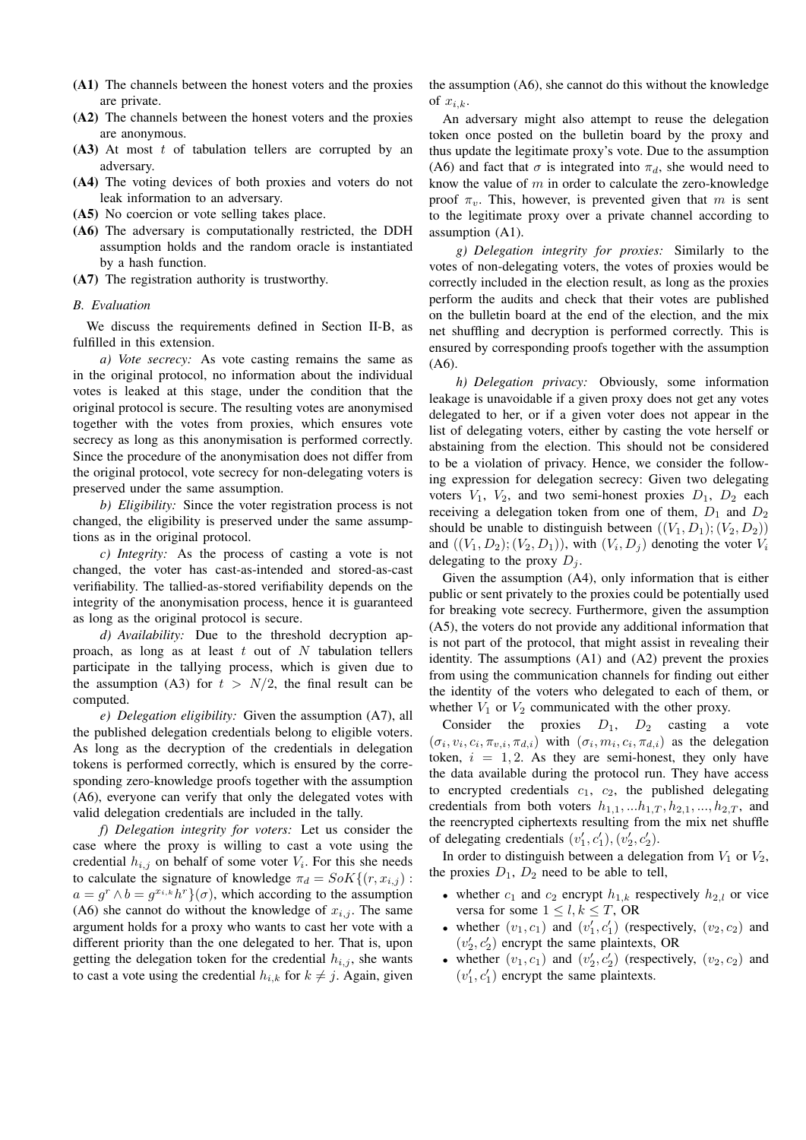- (A1) The channels between the honest voters and the proxies are private.
- (A2) The channels between the honest voters and the proxies are anonymous.
- $(A3)$  At most t of tabulation tellers are corrupted by an adversary.
- (A4) The voting devices of both proxies and voters do not leak information to an adversary.
- (A5) No coercion or vote selling takes place.
- (A6) The adversary is computationally restricted, the DDH assumption holds and the random oracle is instantiated by a hash function.
- (A7) The registration authority is trustworthy.

## *B. Evaluation*

We discuss the requirements defined in Section II-B, as fulfilled in this extension.

*a) Vote secrecy:* As vote casting remains the same as in the original protocol, no information about the individual votes is leaked at this stage, under the condition that the original protocol is secure. The resulting votes are anonymised together with the votes from proxies, which ensures vote secrecy as long as this anonymisation is performed correctly. Since the procedure of the anonymisation does not differ from the original protocol, vote secrecy for non-delegating voters is preserved under the same assumption.

*b) Eligibility:* Since the voter registration process is not changed, the eligibility is preserved under the same assumptions as in the original protocol.

*c) Integrity:* As the process of casting a vote is not changed, the voter has cast-as-intended and stored-as-cast verifiability. The tallied-as-stored verifiability depends on the integrity of the anonymisation process, hence it is guaranteed as long as the original protocol is secure.

*d) Availability:* Due to the threshold decryption approach, as long as at least  $t$  out of  $N$  tabulation tellers participate in the tallying process, which is given due to the assumption (A3) for  $t > N/2$ , the final result can be computed.

*e) Delegation eligibility:* Given the assumption (A7), all the published delegation credentials belong to eligible voters. As long as the decryption of the credentials in delegation tokens is performed correctly, which is ensured by the corresponding zero-knowledge proofs together with the assumption (A6), everyone can verify that only the delegated votes with valid delegation credentials are included in the tally.

*f) Delegation integrity for voters:* Let us consider the case where the proxy is willing to cast a vote using the credential  $h_{i,j}$  on behalf of some voter  $V_i$ . For this she needs to calculate the signature of knowledge  $\pi_d = S \circ K \{(r, x_{i,j}) :$  $a = g^r \wedge b = g^{x_{i,k}} h^r$   $(\sigma)$ , which according to the assumption (A6) she cannot do without the knowledge of  $x_{i,j}$ . The same argument holds for a proxy who wants to cast her vote with a different priority than the one delegated to her. That is, upon getting the delegation token for the credential  $h_{i,j}$ , she wants to cast a vote using the credential  $h_{i,k}$  for  $k \neq j$ . Again, given the assumption (A6), she cannot do this without the knowledge of  $x_{i,k}$ .

An adversary might also attempt to reuse the delegation token once posted on the bulletin board by the proxy and thus update the legitimate proxy's vote. Due to the assumption (A6) and fact that  $\sigma$  is integrated into  $\pi_d$ , she would need to know the value of  $m$  in order to calculate the zero-knowledge proof  $\pi_v$ . This, however, is prevented given that m is sent to the legitimate proxy over a private channel according to assumption (A1).

*g) Delegation integrity for proxies:* Similarly to the votes of non-delegating voters, the votes of proxies would be correctly included in the election result, as long as the proxies perform the audits and check that their votes are published on the bulletin board at the end of the election, and the mix net shuffling and decryption is performed correctly. This is ensured by corresponding proofs together with the assumption (A6).

*h) Delegation privacy:* Obviously, some information leakage is unavoidable if a given proxy does not get any votes delegated to her, or if a given voter does not appear in the list of delegating voters, either by casting the vote herself or abstaining from the election. This should not be considered to be a violation of privacy. Hence, we consider the following expression for delegation secrecy: Given two delegating voters  $V_1$ ,  $V_2$ , and two semi-honest proxies  $D_1$ ,  $D_2$  each receiving a delegation token from one of them,  $D_1$  and  $D_2$ should be unable to distinguish between  $((V_1, D_1); (V_2, D_2))$ and  $((V_1, D_2); (V_2, D_1))$ , with  $(V_i, D_j)$  denoting the voter  $V_i$ delegating to the proxy  $D_i$ .

Given the assumption (A4), only information that is either public or sent privately to the proxies could be potentially used for breaking vote secrecy. Furthermore, given the assumption (A5), the voters do not provide any additional information that is not part of the protocol, that might assist in revealing their identity. The assumptions (A1) and (A2) prevent the proxies from using the communication channels for finding out either the identity of the voters who delegated to each of them, or whether  $V_1$  or  $V_2$  communicated with the other proxy.

Consider the proxies  $D_1$ ,  $D_2$  casting a vote  $(\sigma_i, v_i, c_i, \pi_{v,i}, \pi_{d,i})$  with  $(\sigma_i, m_i, c_i, \pi_{d,i})$  as the delegation token,  $i = 1, 2$ . As they are semi-honest, they only have the data available during the protocol run. They have access to encrypted credentials  $c_1$ ,  $c_2$ , the published delegating credentials from both voters  $h_{1,1},...,h_{1,T},h_{2,1},...,h_{2,T}$ , and the reencrypted ciphertexts resulting from the mix net shuffle of delegating credentials  $(v'_1, c'_1), (v'_2, c'_2)$ .

In order to distinguish between a delegation from  $V_1$  or  $V_2$ , the proxies  $D_1$ ,  $D_2$  need to be able to tell,

- whether  $c_1$  and  $c_2$  encrypt  $h_{1,k}$  respectively  $h_{2,l}$  or vice versa for some  $1 \leq l, k \leq T$ , OR
- whether  $(v_1, c_1)$  and  $(v'_1, c'_1)$  (respectively,  $(v_2, c_2)$ ) and  $(v'_2, c'_2)$  encrypt the same plaintexts, OR
- whether  $(v_1, c_1)$  and  $(v'_2, c'_2)$  (respectively,  $(v_2, c_2)$  and  $(v'_1, c'_1)$  encrypt the same plaintexts.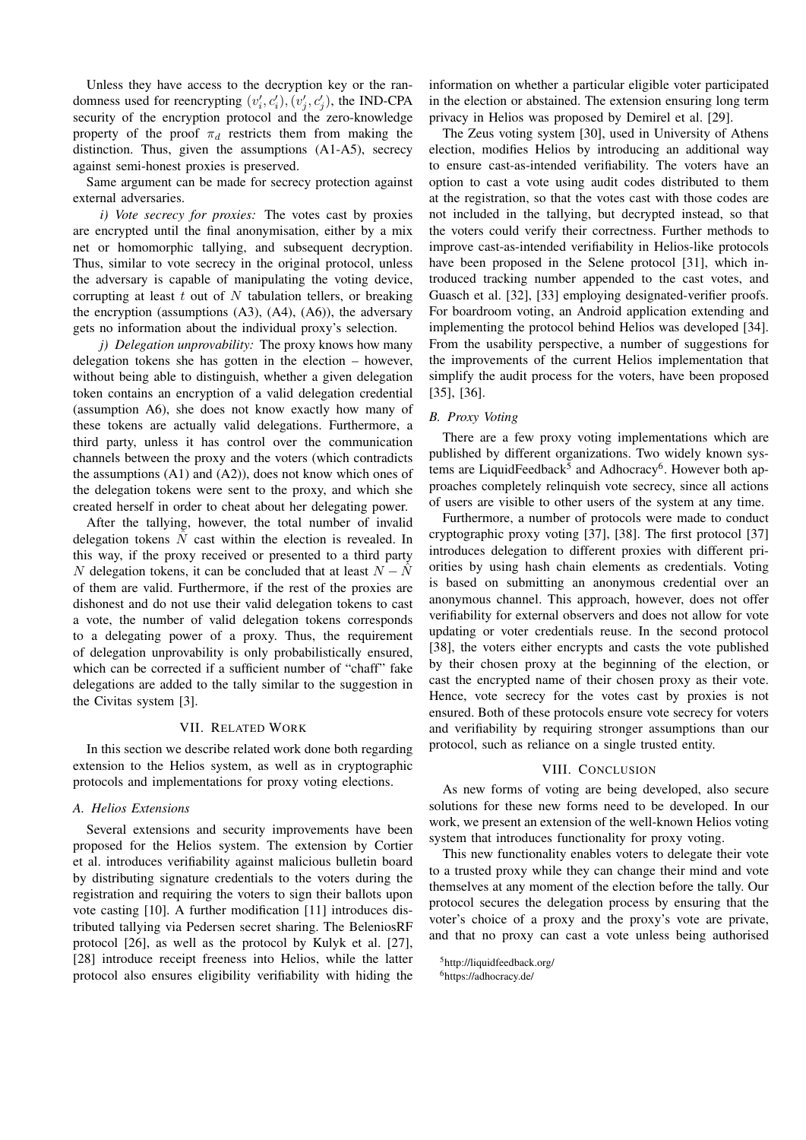Unless they have access to the decryption key or the randomness used for reencrypting  $(v'_i, c'_i)$ ,  $(v'_j, c'_j)$ , the IND-CPA security of the encryption protocol and the zero-knowledge property of the proof  $\pi_d$  restricts them from making the distinction. Thus, given the assumptions (A1-A5), secrecy against semi-honest proxies is preserved.

Same argument can be made for secrecy protection against external adversaries.

*i) Vote secrecy for proxies:* The votes cast by proxies are encrypted until the final anonymisation, either by a mix net or homomorphic tallying, and subsequent decryption. Thus, similar to vote secrecy in the original protocol, unless the adversary is capable of manipulating the voting device, corrupting at least  $t$  out of  $N$  tabulation tellers, or breaking the encryption (assumptions (A3), (A4), (A6)), the adversary gets no information about the individual proxy's selection.

*j) Delegation unprovability:* The proxy knows how many delegation tokens she has gotten in the election – however, without being able to distinguish, whether a given delegation token contains an encryption of a valid delegation credential (assumption A6), she does not know exactly how many of these tokens are actually valid delegations. Furthermore, a third party, unless it has control over the communication channels between the proxy and the voters (which contradicts the assumptions (A1) and (A2)), does not know which ones of the delegation tokens were sent to the proxy, and which she created herself in order to cheat about her delegating power.

After the tallying, however, the total number of invalid delegation tokens  $\hat{N}$  cast within the election is revealed. In this way, if the proxy received or presented to a third party N delegation tokens, it can be concluded that at least  $N - N$ of them are valid. Furthermore, if the rest of the proxies are dishonest and do not use their valid delegation tokens to cast a vote, the number of valid delegation tokens corresponds to a delegating power of a proxy. Thus, the requirement of delegation unprovability is only probabilistically ensured, which can be corrected if a sufficient number of "chaff" fake delegations are added to the tally similar to the suggestion in the Civitas system [3].

## VII. RELATED WORK

In this section we describe related work done both regarding extension to the Helios system, as well as in cryptographic protocols and implementations for proxy voting elections.

# *A. Helios Extensions*

Several extensions and security improvements have been proposed for the Helios system. The extension by Cortier et al. introduces verifiability against malicious bulletin board by distributing signature credentials to the voters during the registration and requiring the voters to sign their ballots upon vote casting [10]. A further modification [11] introduces distributed tallying via Pedersen secret sharing. The BeleniosRF protocol [26], as well as the protocol by Kulyk et al. [27], [28] introduce receipt freeness into Helios, while the latter protocol also ensures eligibility verifiability with hiding the

information on whether a particular eligible voter participated in the election or abstained. The extension ensuring long term privacy in Helios was proposed by Demirel et al. [29].

The Zeus voting system [30], used in University of Athens election, modifies Helios by introducing an additional way to ensure cast-as-intended verifiability. The voters have an option to cast a vote using audit codes distributed to them at the registration, so that the votes cast with those codes are not included in the tallying, but decrypted instead, so that the voters could verify their correctness. Further methods to improve cast-as-intended verifiability in Helios-like protocols have been proposed in the Selene protocol [31], which introduced tracking number appended to the cast votes, and Guasch et al. [32], [33] employing designated-verifier proofs. For boardroom voting, an Android application extending and implementing the protocol behind Helios was developed [34]. From the usability perspective, a number of suggestions for the improvements of the current Helios implementation that simplify the audit process for the voters, have been proposed [35], [36].

# *B. Proxy Voting*

There are a few proxy voting implementations which are published by different organizations. Two widely known systems are LiquidFeedback<sup>5</sup> and Adhocracy<sup>6</sup>. However both approaches completely relinquish vote secrecy, since all actions of users are visible to other users of the system at any time.

Furthermore, a number of protocols were made to conduct cryptographic proxy voting [37], [38]. The first protocol [37] introduces delegation to different proxies with different priorities by using hash chain elements as credentials. Voting is based on submitting an anonymous credential over an anonymous channel. This approach, however, does not offer verifiability for external observers and does not allow for vote updating or voter credentials reuse. In the second protocol [38], the voters either encrypts and casts the vote published by their chosen proxy at the beginning of the election, or cast the encrypted name of their chosen proxy as their vote. Hence, vote secrecy for the votes cast by proxies is not ensured. Both of these protocols ensure vote secrecy for voters and verifiability by requiring stronger assumptions than our protocol, such as reliance on a single trusted entity.

## VIII. CONCLUSION

As new forms of voting are being developed, also secure solutions for these new forms need to be developed. In our work, we present an extension of the well-known Helios voting system that introduces functionality for proxy voting.

This new functionality enables voters to delegate their vote to a trusted proxy while they can change their mind and vote themselves at any moment of the election before the tally. Our protocol secures the delegation process by ensuring that the voter's choice of a proxy and the proxy's vote are private, and that no proxy can cast a vote unless being authorised

<sup>5</sup>http://liquidfeedback.org/

<sup>6</sup>https://adhocracy.de/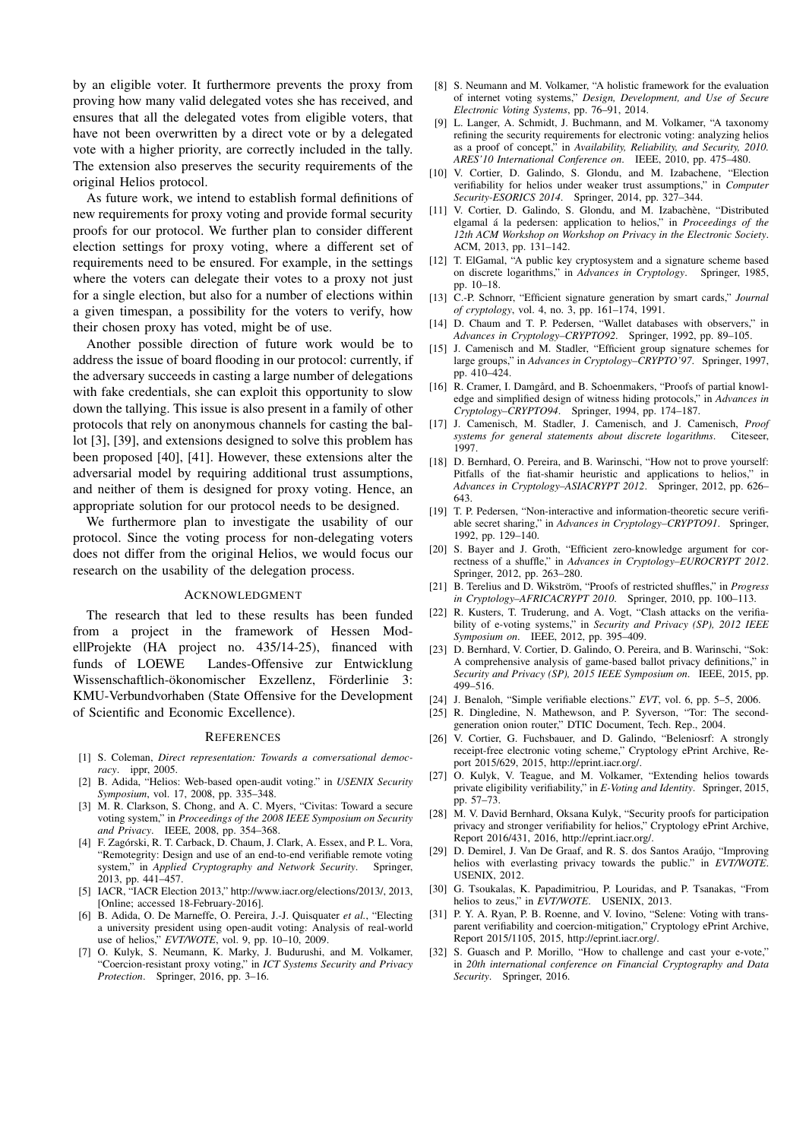by an eligible voter. It furthermore prevents the proxy from proving how many valid delegated votes she has received, and ensures that all the delegated votes from eligible voters, that have not been overwritten by a direct vote or by a delegated vote with a higher priority, are correctly included in the tally. The extension also preserves the security requirements of the original Helios protocol.

As future work, we intend to establish formal definitions of new requirements for proxy voting and provide formal security proofs for our protocol. We further plan to consider different election settings for proxy voting, where a different set of requirements need to be ensured. For example, in the settings where the voters can delegate their votes to a proxy not just for a single election, but also for a number of elections within a given timespan, a possibility for the voters to verify, how their chosen proxy has voted, might be of use.

Another possible direction of future work would be to address the issue of board flooding in our protocol: currently, if the adversary succeeds in casting a large number of delegations with fake credentials, she can exploit this opportunity to slow down the tallying. This issue is also present in a family of other protocols that rely on anonymous channels for casting the ballot [3], [39], and extensions designed to solve this problem has been proposed [40], [41]. However, these extensions alter the adversarial model by requiring additional trust assumptions, and neither of them is designed for proxy voting. Hence, an appropriate solution for our protocol needs to be designed.

We furthermore plan to investigate the usability of our protocol. Since the voting process for non-delegating voters does not differ from the original Helios, we would focus our research on the usability of the delegation process.

#### ACKNOWLEDGMENT

The research that led to these results has been funded from a project in the framework of Hessen ModellProjekte (HA project no. 435/14-25), financed with funds of LOEWE Landes-Offensive zur Entwicklung Wissenschaftlich-ökonomischer Exzellenz, Förderlinie 3: KMU-Verbundvorhaben (State Offensive for the Development of Scientific and Economic Excellence).

# **REFERENCES**

- [1] S. Coleman, *Direct representation: Towards a conversational democracy*. ippr, 2005.
- [2] B. Adida, "Helios: Web-based open-audit voting." in *USENIX Security Symposium*, vol. 17, 2008, pp. 335–348.
- [3] M. R. Clarkson, S. Chong, and A. C. Myers, "Civitas: Toward a secure voting system," in *Proceedings of the 2008 IEEE Symposium on Security and Privacy*. IEEE, 2008, pp. 354–368.
- [4] F. Zagórski, R. T. Carback, D. Chaum, J. Clark, A. Essex, and P. L. Vora, "Remotegrity: Design and use of an end-to-end verifiable remote voting<br>system." in *Applied Cryptography and Network Security*. Springer. system," in *Applied Cryptography and Network Security*. 2013, pp. 441–457.
- [5] IACR, "IACR Election 2013," http://www.iacr.org/elections/2013/, 2013, [Online; accessed 18-February-2016].
- [6] B. Adida, O. De Marneffe, O. Pereira, J.-J. Quisquater *et al.*, "Electing a university president using open-audit voting: Analysis of real-world use of helios," *EVT/WOTE*, vol. 9, pp. 10–10, 2009.
- [7] O. Kulyk, S. Neumann, K. Marky, J. Budurushi, and M. Volkamer, "Coercion-resistant proxy voting," in *ICT Systems Security and Privacy Protection*. Springer, 2016, pp. 3–16.
- [8] S. Neumann and M. Volkamer, "A holistic framework for the evaluation of internet voting systems," *Design, Development, and Use of Secure Electronic Voting Systems*, pp. 76–91, 2014.
- [9] L. Langer, A. Schmidt, J. Buchmann, and M. Volkamer, "A taxonomy refining the security requirements for electronic voting: analyzing helios as a proof of concept," in *Availability, Reliability, and Security, 2010. ARES'10 International Conference on*. IEEE, 2010, pp. 475–480.
- [10] V. Cortier, D. Galindo, S. Glondu, and M. Izabachene, "Election verifiability for helios under weaker trust assumptions," in *Computer Security-ESORICS 2014*. Springer, 2014, pp. 327–344.
- [11] V. Cortier, D. Galindo, S. Glondu, and M. Izabachène, "Distributed elgamal á la pedersen: application to helios," in *Proceedings of the 12th ACM Workshop on Workshop on Privacy in the Electronic Society*. ACM, 2013, pp. 131–142.
- [12] T. ElGamal, "A public key cryptosystem and a signature scheme based on discrete logarithms," in *Advances in Cryptology*. Springer, 1985, pp. 10–18.
- [13] C.-P. Schnorr, "Efficient signature generation by smart cards," *Journal of cryptology*, vol. 4, no. 3, pp. 161–174, 1991.
- [14] D. Chaum and T. P. Pedersen, "Wallet databases with observers," in *Advances in Cryptology–CRYPTO92*. Springer, 1992, pp. 89–105.
- [15] J. Camenisch and M. Stadler, "Efficient group signature schemes for large groups," in *Advances in Cryptology–CRYPTO'97*. Springer, 1997, pp. 410–424.
- [16] R. Cramer, I. Damgård, and B. Schoenmakers, "Proofs of partial knowledge and simplified design of witness hiding protocols," in *Advances in Cryptology–CRYPTO94*. Springer, 1994, pp. 174–187.
- [17] J. Camenisch, M. Stadler, J. Camenisch, and J. Camenisch, *Proof* systems for general statements about discrete logarithms. 1997.
- [18] D. Bernhard, O. Pereira, and B. Warinschi, "How not to prove yourself: Pitfalls of the fiat-shamir heuristic and applications to helios," in *Advances in Cryptology–ASIACRYPT 2012*. Springer, 2012, pp. 626– 643.
- [19] T. P. Pedersen, "Non-interactive and information-theoretic secure verifiable secret sharing," in *Advances in Cryptology–CRYPTO91*. Springer, 1992, pp. 129–140.
- [20] S. Bayer and J. Groth, "Efficient zero-knowledge argument for correctness of a shuffle," in *Advances in Cryptology–EUROCRYPT 2012*. Springer, 2012, pp. 263–280.
- [21] B. Terelius and D. Wikström, "Proofs of restricted shuffles," in Progress *in Cryptology–AFRICACRYPT 2010*. Springer, 2010, pp. 100–113.
- [22] R. Kusters, T. Truderung, and A. Vogt, "Clash attacks on the verifiability of e-voting systems," in *Security and Privacy (SP), 2012 IEEE Symposium on*. IEEE, 2012, pp. 395–409.
- [23] D. Bernhard, V. Cortier, D. Galindo, O. Pereira, and B. Warinschi, "Sok: A comprehensive analysis of game-based ballot privacy definitions," in *Security and Privacy (SP), 2015 IEEE Symposium on*. IEEE, 2015, pp. 499–516.
- [24] J. Benaloh, "Simple verifiable elections." *EVT*, vol. 6, pp. 5–5, 2006.
- [25] R. Dingledine, N. Mathewson, and P. Syverson, "Tor: The secondgeneration onion router," DTIC Document, Tech. Rep., 2004.
- [26] V. Cortier, G. Fuchsbauer, and D. Galindo, "Beleniosrf: A strongly receipt-free electronic voting scheme," Cryptology ePrint Archive, Report 2015/629, 2015, http://eprint.iacr.org/.
- [27] O. Kulyk, V. Teague, and M. Volkamer, "Extending helios towards private eligibility verifiability," in *E-Voting and Identity*. Springer, 2015, pp. 57–73.
- [28] M. V. David Bernhard, Oksana Kulyk, "Security proofs for participation privacy and stronger verifiability for helios," Cryptology ePrint Archive, Report 2016/431, 2016, http://eprint.iacr.org/.
- [29] D. Demirel, J. Van De Graaf, and R. S. dos Santos Araújo, "Improving helios with everlasting privacy towards the public." in *EVT/WOTE*. USENIX, 2012.
- [30] G. Tsoukalas, K. Papadimitriou, P. Louridas, and P. Tsanakas, "From helios to zeus," in *EVT/WOTE*. USENIX, 2013.
- [31] P. Y. A. Ryan, P. B. Roenne, and V. Iovino, "Selene: Voting with transparent verifiability and coercion-mitigation," Cryptology ePrint Archive, Report 2015/1105, 2015, http://eprint.iacr.org/.
- [32] S. Guasch and P. Morillo, "How to challenge and cast your e-vote," in *20th international conference on Financial Cryptography and Data Security*. Springer, 2016.